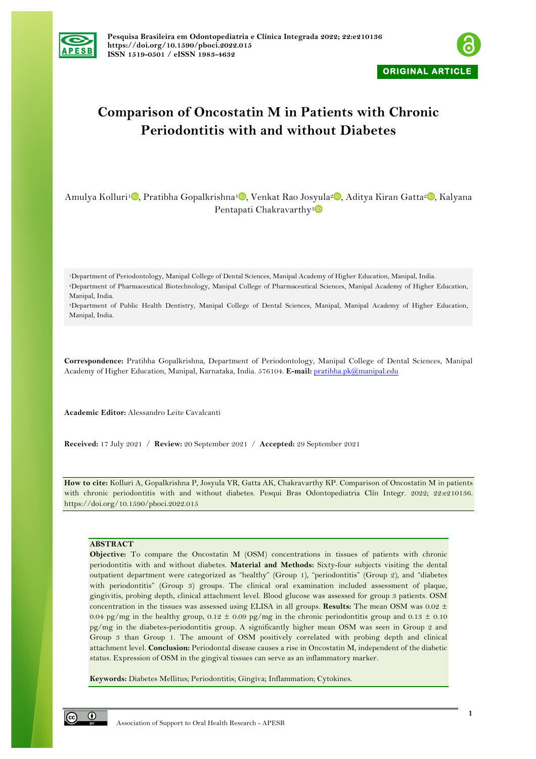



# **Comparison of Oncostatin M in Patients with Chronic Periodontitis with and without Diabetes**

Amulya Kolluri<sup>[1](https://orcid.org/0000-0002-8919-1979)</sup> [,](https://orcid.org/0000-0002-4034-6044) Pratibha Gopalkrishna<sup>1</sup> , Venkat Rao Josyula<sup>2</sup> , Aditya Kiran Gatta<sup>2</sup> , Kalyana Pentapati Chakravarthy<sup>[3](https://orcid.org/0000-0002-5462-5677)</sup>

1Department of Periodontology, Manipal College of Dental Sciences, Manipal Academy of Higher Education, Manipal, India. 2Department of Pharmaceutical Biotechnology, Manipal College of Pharmaceutical Sciences, Manipal Academy of Higher Education, Manipal, India.

3Department of Public Health Dentistry, Manipal College of Dental Sciences, Manipal, Manipal Academy of Higher Education, Manipal, India.

**Correspondence:** Pratibha Gopalkrishna, Department of Periodontology, Manipal College of Dental Sciences, Manipal Academy of Higher Education, Manipal, Karnataka, India. 576104. **E-mail:** pratibha.pk@manipal.edu

**Academic Editor:** Alessandro Leite Cavalcanti

**Received:** 17 July 2021 / **Review:** 20 September 2021 / **Accepted:** 29 September 2021

**How to cite:** Kolluri A, Gopalkrishna P, Josyula VR, Gatta AK, Chakravarthy KP. Comparison of Oncostatin M in patients with chronic periodontitis with and without diabetes. Pesqui Bras Odontopediatria Clín Integr. 2022; 22:e210136. https://doi.org/10.1590/pboci.2022.015

## **ABSTRACT**

**Objective:** To compare the Oncostatin M (OSM) concentrations in tissues of patients with chronic periodontitis with and without diabetes. **Material and Methods:** Sixty-four subjects visiting the dental outpatient department were categorized as "healthy" (Group 1), "periodontitis" (Group 2), and "diabetes with periodontitis" (Group 3) groups. The clinical oral examination included assessment of plaque, gingivitis, probing depth, clinical attachment level. Blood glucose was assessed for group 3 patients. OSM concentration in the tissues was assessed using ELISA in all groups. **Results:** The mean OSM was 0.02 ± 0.04 pg/mg in the healthy group, 0.12  $\pm$  0.09 pg/mg in the chronic periodontitis group and 0.13  $\pm$  0.10 pg/mg in the diabetes-periodontitis group. A significantly higher mean OSM was seen in Group 2 and Group 3 than Group 1. The amount of OSM positively correlated with probing depth and clinical attachment level. **Conclusion:** Periodontal disease causes a rise in Oncostatin M, independent of the diabetic status. Expression of OSM in the gingival tissues can serve as an inflammatory marker.

**Keywords:** Diabetes Mellitus; Periodontitis; Gingiva; Inflammation; Cytokines.

 $\odot$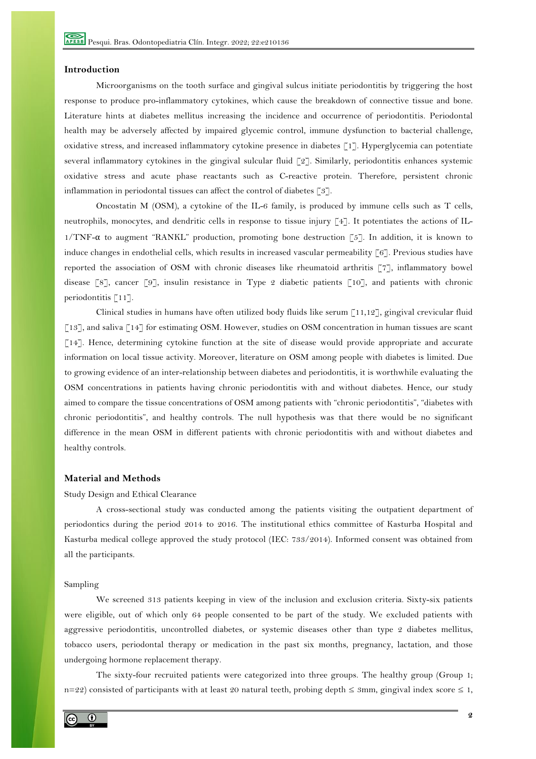## **Introduction**

Microorganisms on the tooth surface and gingival sulcus initiate periodontitis by triggering the host response to produce pro-inflammatory cytokines, which cause the breakdown of connective tissue and bone. Literature hints at diabetes mellitus increasing the incidence and occurrence of periodontitis. Periodontal health may be adversely affected by impaired glycemic control, immune dysfunction to bacterial challenge, oxidative stress, and increased inflammatory cytokine presence in diabetes [1]. Hyperglycemia can potentiate several inflammatory cytokines in the gingival sulcular fluid [2]. Similarly, periodontitis enhances systemic oxidative stress and acute phase reactants such as C-reactive protein. Therefore, persistent chronic inflammation in periodontal tissues can affect the control of diabetes [3].

Oncostatin M (OSM), a cytokine of the IL-6 family, is produced by immune cells such as T cells, neutrophils, monocytes, and dendritic cells in response to tissue injury [4]. It potentiates the actions of IL- $1/TNF-\alpha$  to augment "RANKL" production, promoting bone destruction [5]. In addition, it is known to induce changes in endothelial cells, which results in increased vascular permeability [6]. Previous studies have reported the association of OSM with chronic diseases like rheumatoid arthritis [7], inflammatory bowel disease [8], cancer [9], insulin resistance in Type 2 diabetic patients [10], and patients with chronic periodontitis [11].

Clinical studies in humans have often utilized body fluids like serum [11,12], gingival crevicular fluid [13], and saliva [14] for estimating OSM. However, studies on OSM concentration in human tissues are scant [14]. Hence, determining cytokine function at the site of disease would provide appropriate and accurate information on local tissue activity. Moreover, literature on OSM among people with diabetes is limited. Due to growing evidence of an inter-relationship between diabetes and periodontitis, it is worthwhile evaluating the OSM concentrations in patients having chronic periodontitis with and without diabetes. Hence, our study aimed to compare the tissue concentrations of OSM among patients with "chronic periodontitis", "diabetes with chronic periodontitis", and healthy controls. The null hypothesis was that there would be no significant difference in the mean OSM in different patients with chronic periodontitis with and without diabetes and healthy controls.

## **Material and Methods**

#### Study Design and Ethical Clearance

A cross-sectional study was conducted among the patients visiting the outpatient department of periodontics during the period 2014 to 2016. The institutional ethics committee of Kasturba Hospital and Kasturba medical college approved the study protocol (IEC: 733/2014). Informed consent was obtained from all the participants.

#### Sampling

We screened 313 patients keeping in view of the inclusion and exclusion criteria. Sixty-six patients were eligible, out of which only 64 people consented to be part of the study. We excluded patients with aggressive periodontitis, uncontrolled diabetes, or systemic diseases other than type 2 diabetes mellitus, tobacco users, periodontal therapy or medication in the past six months, pregnancy, lactation, and those undergoing hormone replacement therapy.

The sixty-four recruited patients were categorized into three groups. The healthy group (Group 1; n=22) consisted of participants with at least 20 natural teeth, probing depth ≤ 3mm, gingival index score ≤ 1,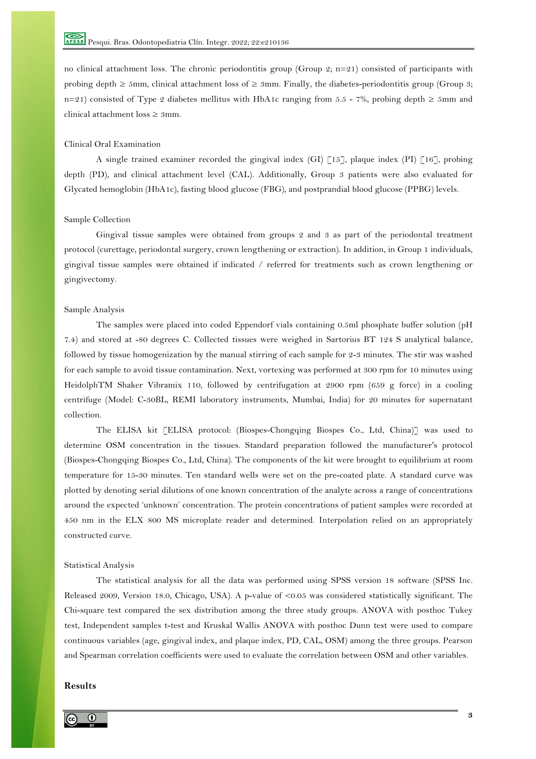no clinical attachment loss. The chronic periodontitis group (Group 2;  $n=21$ ) consisted of participants with probing depth  $\ge 5$ mm, clinical attachment loss of  $\ge 3$ mm. Finally, the diabetes-periodontitis group (Group 3; n=21) consisted of Type 2 diabetes mellitus with HbA1c ranging from 5.5 - 7%, probing depth  $\ge 5$ mm and clinical attachment loss ≥ 3mm.

# Clinical Oral Examination

A single trained examiner recorded the gingival index (GI)  $\lceil 15 \rceil$ , plaque index (PI)  $\lceil 16 \rceil$ , probing depth (PD), and clinical attachment level (CAL). Additionally, Group 3 patients were also evaluated for Glycated hemoglobin (HbA1c), fasting blood glucose (FBG), and postprandial blood glucose (PPBG) levels.

#### Sample Collection

Gingival tissue samples were obtained from groups 2 and 3 as part of the periodontal treatment protocol (curettage, periodontal surgery, crown lengthening or extraction). In addition, in Group 1 individuals, gingival tissue samples were obtained if indicated / referred for treatments such as crown lengthening or gingivectomy.

## Sample Analysis

The samples were placed into coded Eppendorf vials containing 0.5ml phosphate buffer solution (pH 7.4) and stored at -80 degrees C. Collected tissues were weighed in Sartorius BT 124 S analytical balance, followed by tissue homogenization by the manual stirring of each sample for 2-3 minutes. The stir was washed for each sample to avoid tissue contamination. Next, vortexing was performed at 300 rpm for 10 minutes using HeidolphTM Shaker Vibramix 110, followed by centrifugation at 2900 rpm (659 g force) in a cooling centrifuge (Model: C-30BL, REMI laboratory instruments, Mumbai, India) for 20 minutes for supernatant collection.

The ELISA kit [ELISA protocol: (Biospes-Chongqing Biospes Co., Ltd, China)] was used to determine OSM concentration in the tissues. Standard preparation followed the manufacturer's protocol (Biospes-Chongqing Biospes Co., Ltd, China). The components of the kit were brought to equilibrium at room temperature for 15-30 minutes. Ten standard wells were set on the pre-coated plate. A standard curve was plotted by denoting serial dilutions of one known concentration of the analyte across a range of concentrations around the expected 'unknown' concentration. The protein concentrations of patient samples were recorded at 450 nm in the ELX 800 MS microplate reader and determined. Interpolation relied on an appropriately constructed curve.

## Statistical Analysis

The statistical analysis for all the data was performed using SPSS version 18 software (SPSS Inc. Released 2009, Version 18.0, Chicago, USA). A p-value of <0.05 was considered statistically significant. The Chi-square test compared the sex distribution among the three study groups. ANOVA with posthoc Tukey test, Independent samples t-test and Kruskal Wallis ANOVA with posthoc Dunn test were used to compare continuous variables (age, gingival index, and plaque index, PD, CAL, OSM) among the three groups. Pearson and Spearman correlation coefficients were used to evaluate the correlation between OSM and other variables.

## **Results**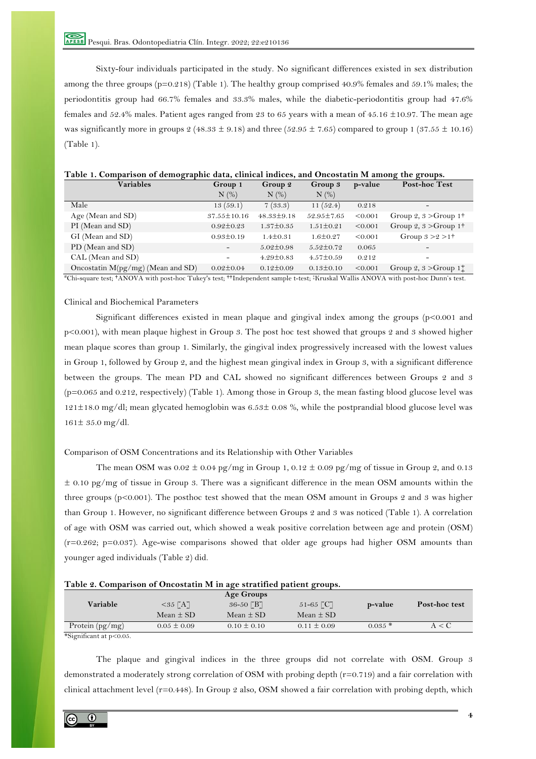Sixty-four individuals participated in the study. No significant differences existed in sex distribution among the three groups (p=0.218) (Table 1). The healthy group comprised 40.9% females and 59.1% males; the periodontitis group had 66.7% females and 33.3% males, while the diabetic-periodontitis group had 47.6% females and 52.4% males. Patient ages ranged from 23 to 65 years with a mean of 45.16 ±10.97. The mean age was significantly more in groups  $2$  (48.33  $\pm$  9.18) and three (52.95  $\pm$  7.65) compared to group 1 (37.55  $\pm$  10.16) (Table 1).

| Table 1. Comparison of demographic data, clinical indices, and Oncostatin M among the groups. |  |  |  |  |
|-----------------------------------------------------------------------------------------------|--|--|--|--|
|-----------------------------------------------------------------------------------------------|--|--|--|--|

| <b>Variables</b>                    | Group 1                  | Group 2          | Group 3          | p-value | <b>Post-hoc Test</b>                 |
|-------------------------------------|--------------------------|------------------|------------------|---------|--------------------------------------|
|                                     | $N$ $(\%)$               | $N$ $(\%)$       | $N$ $(\%)$       |         |                                      |
| Male                                | 13(59.1)                 | 7(33.3)          | 11 $(52.4)$      | 0.218   | $\overline{\phantom{a}}$             |
| Age (Mean and $SD$ )                | $37.55 \pm 10.16$        | $48.33 \pm 9.18$ | $52.95 \pm 7.65$ | < 0.001 | Group 2, $3 > G$ roup 1 <sup>+</sup> |
| PI (Mean and SD)                    | $0.92 \pm 0.23$          | $1.37 \pm 0.35$  | $1.51 \pm 0.21$  | < 0.001 | Group 2, $3 > G$ roup 1 <sup>+</sup> |
| GI (Mean and SD)                    | $0.93 \pm 0.19$          | $1.4 \pm 0.31$   | $1.6 \pm 0.27$   | < 0.001 | Group $3 > 2 > 1^+$                  |
| PD (Mean and SD)                    | $\overline{\phantom{0}}$ | $5.02 \pm 0.98$  | $5.52 \pm 0.72$  | 0.065   |                                      |
| CAL (Mean and SD)                   | -                        | $4.29 \pm 0.83$  | $4.57 \pm 0.59$  | 0.212   | -                                    |
| Oncostatin $M(pg/mg)$ (Mean and SD) | $0.02 \pm 0.04$          | $0.12 \pm 0.09$  | $0.13 \pm 0.10$  | < 0.001 | Group 2, $3 > G$ roup 1 <sup>+</sup> |

**#**Chi-square test; **†**ANOVA with post-hoc Tukey's test; **††**Independent sample t-test; ‡Kruskal Wallis ANOVA with post-hoc Dunn's test.

## Clinical and Biochemical Parameters

Significant differences existed in mean plaque and gingival index among the groups (p<0.001 and p<0.001), with mean plaque highest in Group 3. The post hoc test showed that groups 2 and 3 showed higher mean plaque scores than group 1. Similarly, the gingival index progressively increased with the lowest values in Group 1, followed by Group 2, and the highest mean gingival index in Group 3, with a significant difference between the groups. The mean PD and CAL showed no significant differences between Groups 2 and 3 (p=0.065 and 0.212, respectively) (Table 1). Among those in Group 3, the mean fasting blood glucose level was 121±18.0 mg/dl; mean glycated hemoglobin was 6.53± 0.08 %, while the postprandial blood glucose level was 161± 35.0 mg/dl.

## Comparison of OSM Concentrations and its Relationship with Other Variables

The mean OSM was  $0.02 \pm 0.04$  pg/mg in Group 1,  $0.12 \pm 0.09$  pg/mg of tissue in Group 2, and 0.13  $\pm$  0.10 pg/mg of tissue in Group 3. There was a significant difference in the mean OSM amounts within the three groups (p<0.001). The posthoc test showed that the mean OSM amount in Groups 2 and 3 was higher than Group 1. However, no significant difference between Groups 2 and 3 was noticed (Table 1). A correlation of age with OSM was carried out, which showed a weak positive correlation between age and protein (OSM) (r=0.262; p=0.037). Age-wise comparisons showed that older age groups had higher OSM amounts than younger aged individuals (Table 2) did.

| Table 2. Comparison of Oncostatin M in age stratified patient groups. |  |
|-----------------------------------------------------------------------|--|
|-----------------------------------------------------------------------|--|

|                                             |                          | Age Groups      |                 |          |               |
|---------------------------------------------|--------------------------|-----------------|-----------------|----------|---------------|
| Variable                                    | $<$ 35 $\lceil A \rceil$ | 36-50 [B]       | 51-65 [C]       | p-value  | Post-hoc test |
|                                             | Mean $\pm$ SD            | Mean $\pm$ SD.  | Mean $\pm$ SD   |          |               |
| Protein $(\text{pg/mg})$                    | $0.05 \pm 0.09$          | $0.10 \pm 0.10$ | $0.11 \pm 0.09$ | $0.035*$ | A < C         |
| $SC_{i}$ and $C_{i}$ and $C_{i}$ at $C_{i}$ |                          |                 |                 |          |               |

\*Significant at p<0.05.

The plaque and gingival indices in the three groups did not correlate with OSM. Group 3 demonstrated a moderately strong correlation of OSM with probing depth (r=0.719) and a fair correlation with clinical attachment level (r=0.448). In Group 2 also, OSM showed a fair correlation with probing depth, which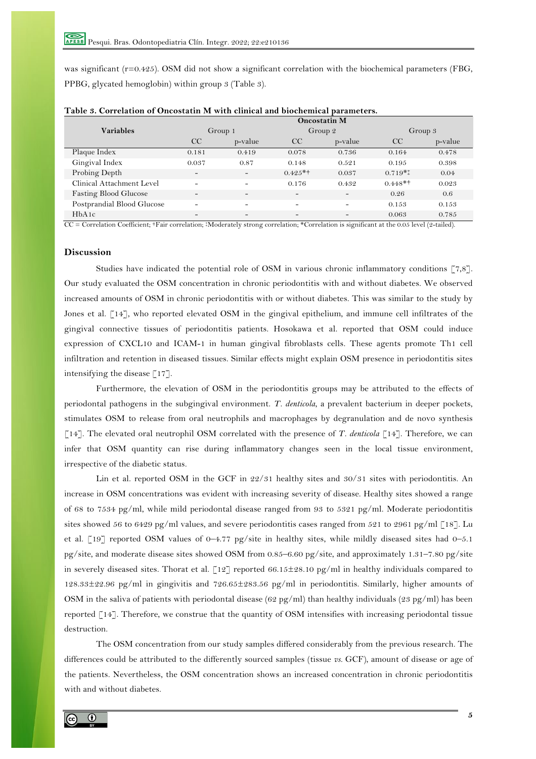was significant (r=0.425). OSM did not show a significant correlation with the biochemical parameters (FBG, PPBG, glycated hemoglobin) within group 3 (Table 3).

|                              | <b>Oncostatin M</b>          |                              |                          |                          |               |         |
|------------------------------|------------------------------|------------------------------|--------------------------|--------------------------|---------------|---------|
| <b>Variables</b>             | Group 1                      |                              | Group 2                  |                          | Group 3       |         |
|                              | CC                           | p-value                      | CC                       | p-value                  | <sub>CC</sub> | p-value |
| Plaque Index                 | 0.181                        | 0.419                        | 0.078                    | 0.736                    | 0.164         | 0.478   |
| Gingival Index               | 0.037                        | 0.87                         | 0.148                    | 0.521                    | 0.195         | 0.398   |
| Probing Depth                | $\overline{\phantom{a}}$     | $\overline{\phantom{0}}$     | $0.425**$                | 0.037                    | $0.719**$     | 0.04    |
| Clinical Attachment Level    | $\qquad \qquad$              | $\qquad \qquad \blacksquare$ | 0.176                    | 0.432                    | $0.448**$     | 0.023   |
| <b>Fasting Blood Glucose</b> | $\qquad \qquad \blacksquare$ | $\qquad \qquad \blacksquare$ | $\overline{\phantom{a}}$ | $\overline{\phantom{0}}$ | 0.26          | 0.6     |
| Postprandial Blood Glucose   |                              | $\qquad \qquad \blacksquare$ | $\overline{\phantom{a}}$ |                          | 0.153         | 0.153   |
| HbA1c                        | $\overline{\phantom{0}}$     | $\overline{\phantom{0}}$     | $\overline{\phantom{a}}$ |                          | 0.063         | 0.785   |

| Table 3. Correlation of Oncostatin M with clinical and biochemical parameters. |  |  |  |
|--------------------------------------------------------------------------------|--|--|--|
|--------------------------------------------------------------------------------|--|--|--|

CC = Correlation Coefficient; †Fair correlation; ‡Moderately strong correlation; \*Correlation is significant at the 0.05 level (2-tailed).

# **Discussion**

Studies have indicated the potential role of OSM in various chronic inflammatory conditions [7,8]. Our study evaluated the OSM concentration in chronic periodontitis with and without diabetes. We observed increased amounts of OSM in chronic periodontitis with or without diabetes. This was similar to the study by Jones et al. [14], who reported elevated OSM in the gingival epithelium, and immune cell infiltrates of the gingival connective tissues of periodontitis patients. Hosokawa et al. reported that OSM could induce expression of CXCL10 and ICAM-1 in human gingival fibroblasts cells. These agents promote Th1 cell infiltration and retention in diseased tissues. Similar effects might explain OSM presence in periodontitis sites intensifying the disease  $\lceil 17 \rceil$ .

Furthermore, the elevation of OSM in the periodontitis groups may be attributed to the effects of periodontal pathogens in the subgingival environment. *T. denticola*, a prevalent bacterium in deeper pockets, stimulates OSM to release from oral neutrophils and macrophages by degranulation and de novo synthesis [14]. The elevated oral neutrophil OSM correlated with the presence of *T. denticola* [14]. Therefore, we can infer that OSM quantity can rise during inflammatory changes seen in the local tissue environment, irrespective of the diabetic status.

Lin et al. reported OSM in the GCF in 22/31 healthy sites and 30/31 sites with periodontitis. An increase in OSM concentrations was evident with increasing severity of disease. Healthy sites showed a range of 68 to 7534 pg/ml, while mild periodontal disease ranged from 93 to 5321 pg/ml. Moderate periodontitis sites showed 56 to 6429 pg/ml values, and severe periodontitis cases ranged from 521 to 2961 pg/ml [18]. Lu et al. [19] reported OSM values of 0–4.77 pg/site in healthy sites, while mildly diseased sites had 0–5.1 pg/site, and moderate disease sites showed OSM from 0.85–6.60 pg/site, and approximately 1.31–7.80 pg/site in severely diseased sites. Thorat et al.  $\lceil 12 \rceil$  reported 66.15 $\pm 28.10$  pg/ml in healthy individuals compared to 128.33±22.96 pg/ml in gingivitis and 726.65±283.56 pg/ml in periodontitis. Similarly, higher amounts of OSM in the saliva of patients with periodontal disease  $(62 \text{ pg/ml})$  than healthy individuals  $(23 \text{ pg/ml})$  has been reported [14]. Therefore, we construe that the quantity of OSM intensifies with increasing periodontal tissue destruction.

The OSM concentration from our study samples differed considerably from the previous research. The differences could be attributed to the differently sourced samples (tissue *vs.* GCF), amount of disease or age of the patients. Nevertheless, the OSM concentration shows an increased concentration in chronic periodontitis with and without diabetes.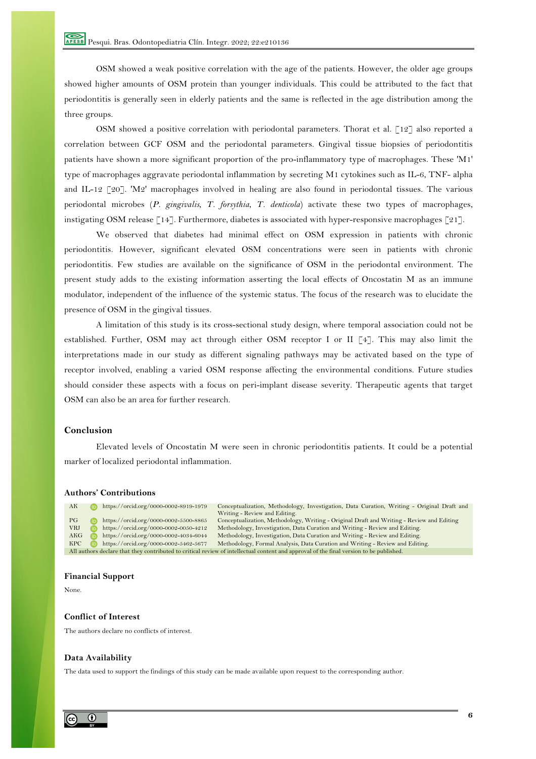OSM showed a weak positive correlation with the age of the patients. However, the older age groups showed higher amounts of OSM protein than younger individuals. This could be attributed to the fact that periodontitis is generally seen in elderly patients and the same is reflected in the age distribution among the three groups.

OSM showed a positive correlation with periodontal parameters. Thorat et al.  $\lceil 12 \rceil$  also reported a correlation between GCF OSM and the periodontal parameters. Gingival tissue biopsies of periodontitis patients have shown a more significant proportion of the pro-inflammatory type of macrophages. These 'M1' type of macrophages aggravate periodontal inflammation by secreting M1 cytokines such as IL-6, TNF- alpha and IL-12 [20]. 'M2' macrophages involved in healing are also found in periodontal tissues. The various periodontal microbes (*P. gingivalis*, *T. forsythia*, *T. denticola*) activate these two types of macrophages, instigating OSM release [14]. Furthermore, diabetes is associated with hyper-responsive macrophages [21].

We observed that diabetes had minimal effect on OSM expression in patients with chronic periodontitis. However, significant elevated OSM concentrations were seen in patients with chronic periodontitis. Few studies are available on the significance of OSM in the periodontal environment. The present study adds to the existing information asserting the local effects of Oncostatin M as an immune modulator, independent of the influence of the systemic status. The focus of the research was to elucidate the presence of OSM in the gingival tissues.

A limitation of this study is its cross-sectional study design, where temporal association could not be established. Further, OSM may act through either OSM receptor I or II [4]. This may also limit the interpretations made in our study as different signaling pathways may be activated based on the type of receptor involved, enabling a varied OSM response affecting the environmental conditions. Future studies should consider these aspects with a focus on peri-implant disease severity. Therapeutic agents that target OSM can also be an area for further research.

## **Conclusion**

Elevated levels of Oncostatin M were seen in chronic periodontitis patients. It could be a potential marker of localized periodontal inflammation.

## **Authors' Contributions**

AK **https://orcid.org/0000-0002-8919-1979** Conceptualization, Methodology, Investigation, Data Curation, Writing - Original Draft and Writing - Review and Editing. PG https://orcid.org/0000-0002-5500-8865 Conceptualization, Methodology, Writing - Original Draft and Writing - Review and Editing VRJ https://orcid.org/0000-0002-0050-4212 Methodology, Investigation, Data Curation and Writing - Review and Editing. AKG https://orcid.org/0000-0002-4034-6044 Methodology, Investigation, Data Curation and Writing - Review and Editing<br>RPC https://orcid.org/0000-0002-5462-5677 Methodology, Formal Analysis, Data Curation and Writing - Revie KPC https://orcid.org/0000-0002-5462-5677 Methodology, Formal Analysis, Data Curation and Writing - Review and Editing. All authors declare that they contributed to critical review of intellectual content and approval of the final version to be published.

#### **Financial Support**

None.

## **Conflict of Interest**

The authors declare no conflicts of interest.

#### **Data Availability**

The data used to support the findings of this study can be made available upon request to the corresponding author.